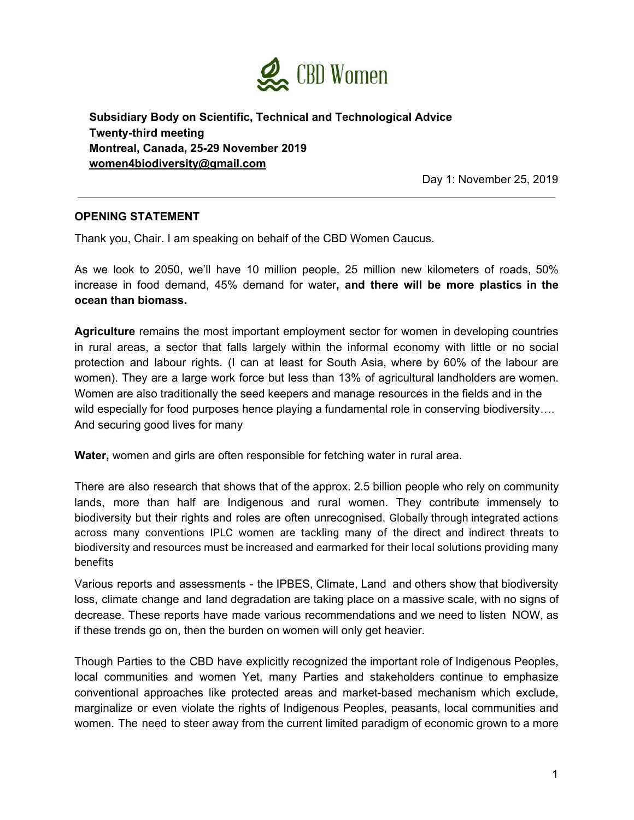

**Subsidiary Body on Scientific, Technical and Technological Advice Twenty-third meeting Montreal, Canada, 25-29 November 2019 [women4biodiversity@gmail.com](mailto:women4biodiversity@gmail.com)**

Day 1: November 25, 2019

## **OPENING STATEMENT**

Thank you, Chair. I am speaking on behalf of the CBD Women Caucus.

As we look to 2050, we'll have 10 million people, 25 million new kilometers of roads, 50% increase in food demand, 45% demand for water**, and there will be more plastics in the ocean than biomass.**

**Agriculture** remains the most important employment sector for women in developing countries in rural areas, a sector that falls largely within the informal economy with little or no social protection and labour rights. (I can at least for South Asia, where by 60% of the labour are women). They are a large work force but less than 13% of agricultural landholders are women. Women are also traditionally the seed keepers and manage resources in the fields and in the wild especially for food purposes hence playing a fundamental role in conserving biodiversity.... And securing good lives for many

**Water,** women and girls are often responsible for fetching water in rural area.

There are also research that shows that of the approx. 2.5 billion people who rely on community lands, more than half are Indigenous and rural women. They contribute immensely to biodiversity but their rights and roles are often unrecognised. Globally through integrated actions across many conventions IPLC women are tackling many of the direct and indirect threats to biodiversity and resources must be increased and earmarked for their local solutions providing many benefits

Various reports and assessments - the IPBES, Climate, Land and others show that biodiversity loss, climate change and land degradation are taking place on a massive scale, with no signs of decrease. These reports have made various recommendations and we need to listen NOW, as if these trends go on, then the burden on women will only get heavier.

Though Parties to the CBD have explicitly recognized the important role of Indigenous Peoples, local communities and women Yet, many Parties and stakeholders continue to emphasize conventional approaches like protected areas and market-based mechanism which exclude, marginalize or even violate the rights of Indigenous Peoples, peasants, local communities and women. The need to steer away from the current limited paradigm of economic grown to a more